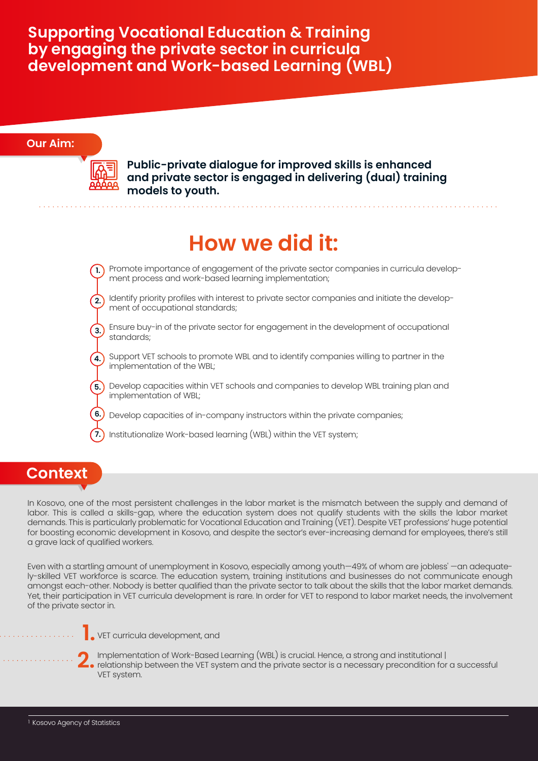#### **Our Aim:**



**Public-private dialogue for improved skills is enhanced and private sector is engaged in delivering (dual) training models to youth.**

### **How we did it:**

- Promote importance of engagement of the private sector companies in curricula development process and work-based learning implementation; **1.**
- Identify priority profiles with interest to private sector companies and initiate the develop-**2.** ment of occupational standards;
- Ensure buy-in of the private sector for engagement in the development of occupational standards; **3.**
- Support VET schools to promote WBL and to identify companies willing to partner in the **4.** implementation of the WBL;
- **5.)** Develop capacities within VET schools and companies to develop WBL training plan and implementation of WBL;
- Develop capacities of in-company instructors within the private companies; **6.**
- Institutionalize Work-based learning (WBL) within the VET system; **7.**

#### **Context**

In Kosovo, one of the most persistent challenges in the labor market is the mismatch between the supply and demand of labor. This is called a skills-gap, where the education system does not qualify students with the skills the labor market demands. This is particularly problematic for Vocational Education and Training (VET). Despite VET professions' huge potential for boosting economic development in Kosovo, and despite the sector's ever-increasing demand for employees, there's still a grave lack of qualified workers.

Even with a startling amount of unemployment in Kosovo, especially among youth—49% of whom are jobless' —an adequately-skilled VET workforce is scarce. The education system, training institutions and businesses do not communicate enough amongst each-other. Nobody is better qualified than the private sector to talk about the skills that the labor market demands. Yet, their participation in VET curricula development is rare. In order for VET to respond to labor market needs, the involvement of the private sector in.



VET curricula development, and **1.**

Implementation of Work-Based Learning (WBL) is crucial. Hence, a strong and institutional | relationship between the VET system and the private sector is a necessary precondition for a successful v.F.T system in the VET system and the private sector is a necessary precondition for a successful<br>V.F.T system VET system.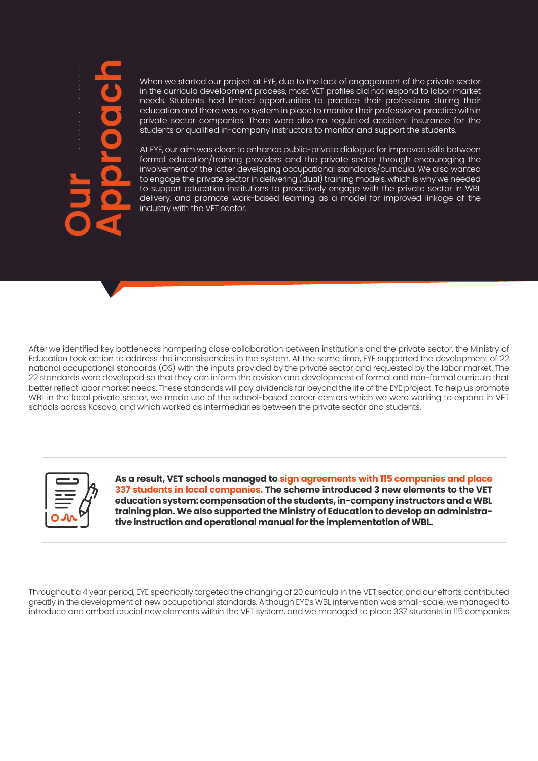# **Our Approach**

When we started our project at EYE, due to the lack of engagement of the private sector in the curricula development process, most VET profiles did not respond to labor market needs. Students had limited opportunities to practice their professions during their education and there was no system in place to monitor their professional practice within private sector companies. There were also no regulated accident insurance for the students or qualified in-company instructors to monitor and support the students.

At EYE, our aim was clear: to enhance public-private dialogue for improved skills between formal education/training providers and the private sector through encouraging the involvement of the latter developing occupational standards/curricula. We also wanted to engage the private sector in delivering (dual) training models, which is why we needed to support education institutions to proactively engage with the private sector in WBL delivery, and promote work-based learning as a model for improved linkage of the industry with the VET sector.

After we identified key bottlenecks hampering close collaboration between institutions and the private sector, the Ministry of Education took action to address the inconsistencies in the system. At the same time, EYE supported the development of 22 national occupational standards (OS) with the inputs provided by the private sector and requested by the labor market. The 22 standards were developed so that they can inform the revision and development of formal and non-formal curricula that better reflect labor market needs. These standards will pay dividends far beyond the life of the EYE project. To help us promote WBL in the local private sector, we made use of the school-based career centers which we were working to expand in VET schools across Kosovo, and which worked as intermediaries between the private sector and students.



**As a result, VET schools managed to sign agreements with 115 companies and place 337 students in local companies. The scheme introduced 3 new elements to the VET education system: compensation of the students, in-company instructors and a WBL training plan. We also supported the Ministry of Education to develop an administrative instruction and operational manual for the implementation of WBL.**

Throughout a 4 year period, EYE specifically targeted the changing of 20 curricula in the VET sector, and our efforts contributed greatly in the development of new occupational standards. Although EYE's WBL intervention was small-scale, we managed to introduce and embed crucial new elements within the VET system, and we managed to place 337 students in 115 companies.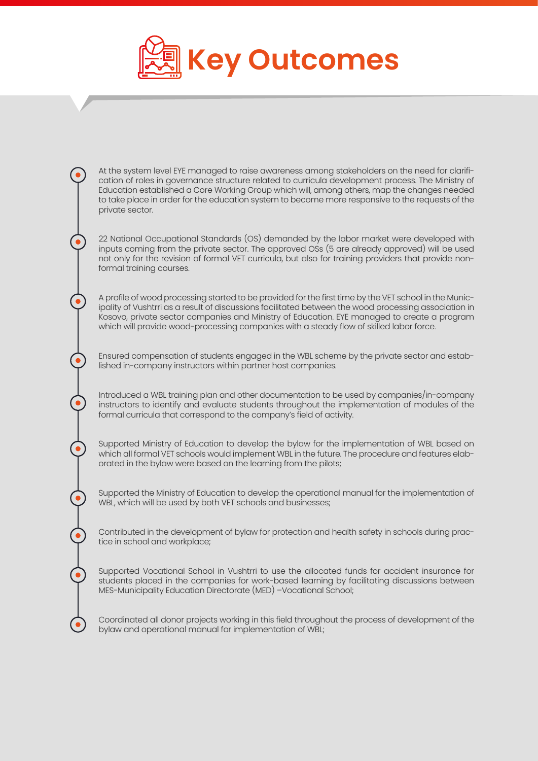

At the system level EYE managed to raise awareness among stakeholders on the need for clarification of roles in governance structure related to curricula development process. The Ministry of Education established a Core Working Group which will, among others, map the changes needed to take place in order for the education system to become more responsive to the requests of the private sector.

22 National Occupational Standards (OS) demanded by the labor market were developed with inputs coming from the private sector. The approved OSs (5 are already approved) will be used not only for the revision of formal VET curricula, but also for training providers that provide nonformal training courses.

A profile of wood processing started to be provided for the first time by the VET school in the Municipality of Vushtrri as a result of discussions facilitated between the wood processing association in Kosovo, private sector companies and Ministry of Education. EYE managed to create a program which will provide wood-processing companies with a steady flow of skilled labor force.

Ensured compensation of students engaged in the WBL scheme by the private sector and established in-company instructors within partner host companies.

Introduced a WBL training plan and other documentation to be used by companies/in-company instructors to identify and evaluate students throughout the implementation of modules of the formal curricula that correspond to the company's field of activity.

Supported Ministry of Education to develop the bylaw for the implementation of WBL based on which all formal VET schools would implement WBL in the future. The procedure and features elaborated in the bylaw were based on the learning from the pilots;

Supported the Ministry of Education to develop the operational manual for the implementation of WBL, which will be used by both VET schools and businesses;

Contributed in the development of bylaw for protection and health safety in schools during practice in school and workplace;

Supported Vocational School in Vushtrri to use the allocated funds for accident insurance for students placed in the companies for work-based learning by facilitating discussions between MES-Municipality Education Directorate (MED) –Vocational School;

Coordinated all donor projects working in this field throughout the process of development of the bylaw and operational manual for implementation of WBL;